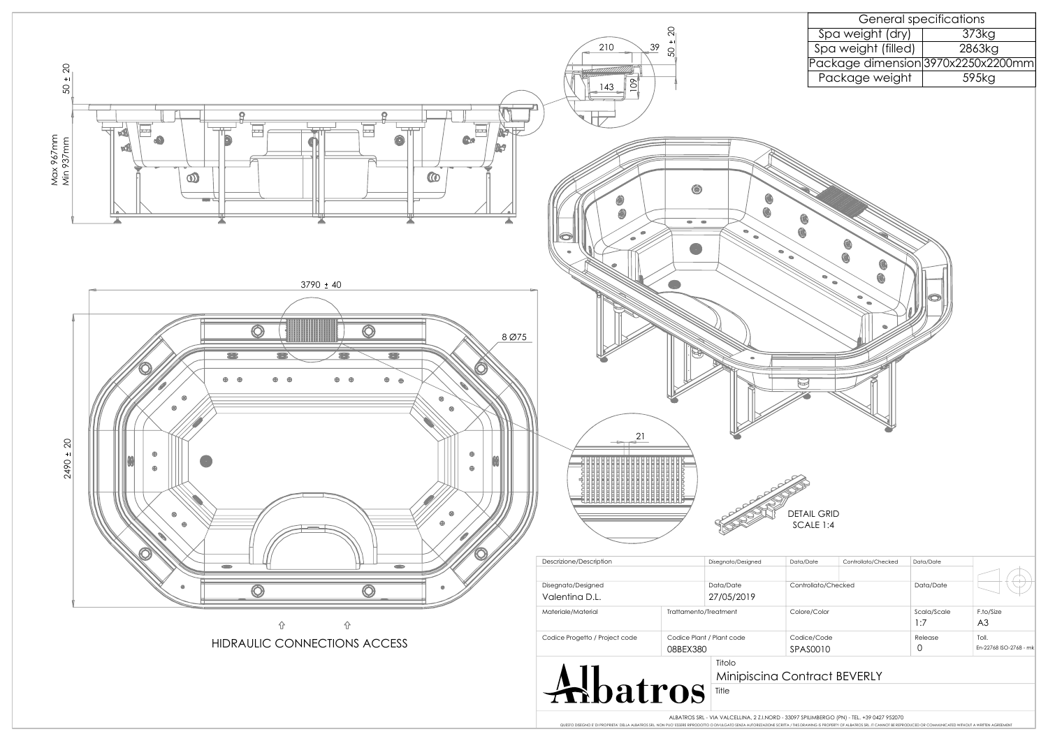| Controllato/Checked | Data/Date   |                        |  |
|---------------------|-------------|------------------------|--|
| Colore/Color        | Scala/Scale | F.to/Size              |  |
|                     | 1:7         | A <sub>3</sub>         |  |
| Codice/Code         | Release     | Toll.                  |  |
| SPAS0010            |             | En-22768 ISO-2768 - mk |  |
|                     |             |                        |  |